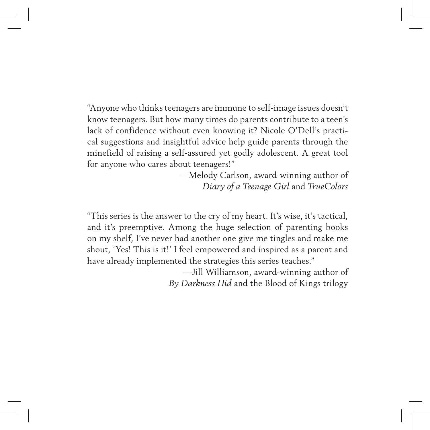"Anyone who thinks teenagers are immune to self-image issues doesn't know teenagers. But how many times do parents contribute to a teen's lack of confidence without even knowing it? Nicole O'Dell's practical suggestions and insightful advice help guide parents through the minefield of raising a self-assured yet godly adolescent. A great tool for anyone who cares about teenagers!"

> —Melody Carlson, award-winning author of *Diary of a Teenage Girl* and *TrueColors*

"This series is the answer to the cry of my heart. It's wise, it's tactical, and it's preemptive. Among the huge selection of parenting books on my shelf, I've never had another one give me tingles and make me shout, 'Yes! This is it!' I feel empowered and inspired as a parent and have already implemented the strategies this series teaches."

> —Jill Williamson, award-winning author of *By Darkness Hid* and the Blood of Kings trilogy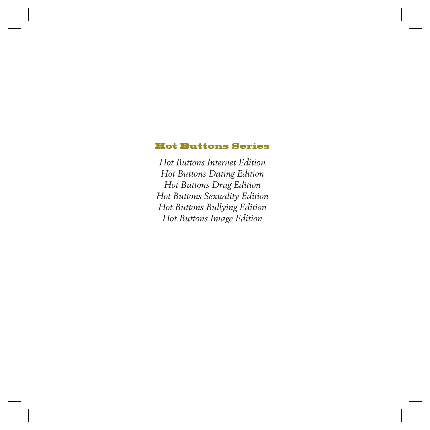#### Hot Buttons Series

*Hot Buttons Internet Edition Hot Buttons Dating Edition Hot Buttons Drug Edition Hot Buttons Sexuality Edition Hot Buttons Bullying Edition Hot Buttons Image Edition*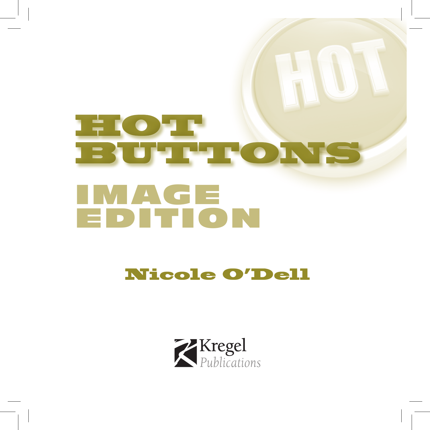## **HOTH** BUTTONS IMAGE EDITION

### Nicole O'Dell

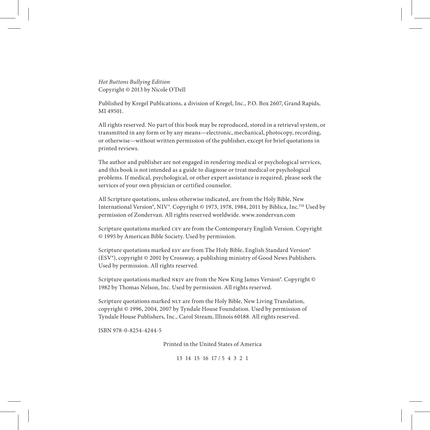*Hot Buttons Bullying Edition* Copyright © 2013 by Nicole O'Dell

Published by Kregel Publications, a division of Kregel, Inc., P.O. Box 2607, Grand Rapids, MI 49501.

All rights reserved. No part of this book may be reproduced, stored in a retrieval system, or transmitted in any form or by any means—electronic, mechanical, photocopy, recording, or otherwise—without written permission of the publisher, except for brief quotations in printed reviews.

The author and publisher are not engaged in rendering medical or psychological services, and this book is not intended as a guide to diagnose or treat medical or psychological problems. If medical, psychological, or other expert assistance is required, please seek the services of your own physician or certified counselor.

All Scripture quotations, unless otherwise indicated, are from the Holy Bible, New International Version®, NIV®. Copyright © 1973, 1978, 1984, 2011 by Biblica, Inc.<sup>™</sup> Used by permission of Zondervan. All rights reserved worldwide. www.zondervan.com

Scripture quotations marked cev are from the Contemporary English Version. Copyright © 1995 by American Bible Society. Used by permission.

Scripture quotations marked esv are from The Holy Bible, English Standard Version® (ESV®), copyright © 2001 by Crossway, a publishing ministry of Good News Publishers. Used by permission. All rights reserved.

Scripture quotations marked NKJV are from the New King James Version®. Copyright © 1982 by Thomas Nelson, Inc. Used by permission. All rights reserved.

Scripture quotations marked NLT are from the Holy Bible, New Living Translation, copyright © 1996, 2004, 2007 by Tyndale House Foundation. Used by permission of Tyndale House Publishers, Inc., Carol Stream, Illinois 60188. All rights reserved.

ISBN 978-0-8254-4244-5

Printed in the United States of America

13 14 15 16 17 / 5 4 3 2 1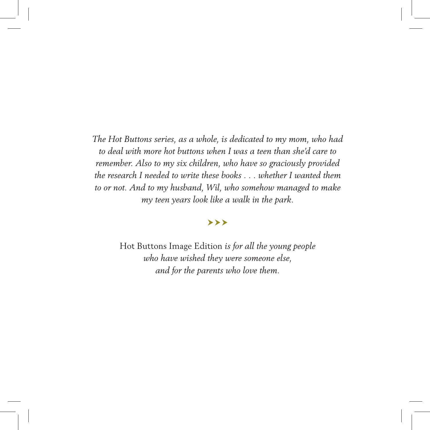*The Hot Buttons series, as a whole, is dedicated to my mom, who had to deal with more hot buttons when I was a teen than she'd care to remember. Also to my six children, who have so graciously provided the research I needed to write these books . . . whether I wanted them to or not. And to my husband, Wil, who somehow managed to make my teen years look like a walk in the park.* 

#### ≻≻≻

Hot Buttons Image Edition *is for all the young people who have wished they were someone else, and for the parents who love them.*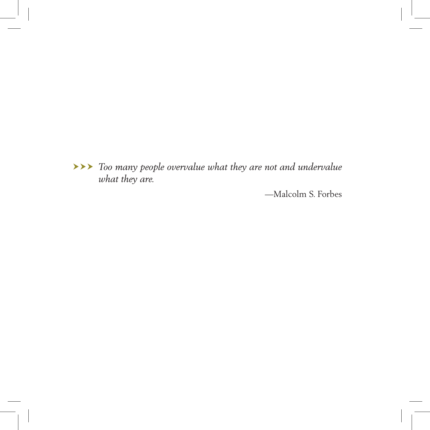*Too many people overvalue what they are not and undervalue what they are.*

*—*Malcolm S. Forbes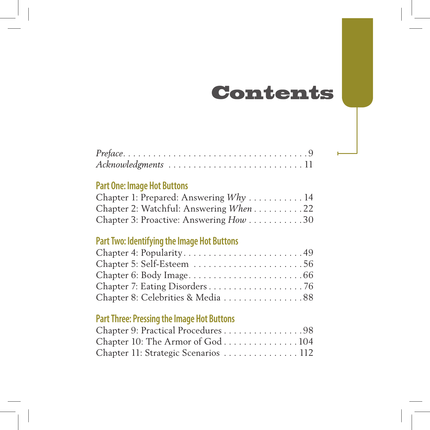### Contents

| $Preface. \ldots \ldots \ldots \ldots \ldots \ldots \ldots \ldots \ldots \ldots 9$ |  |  |  |  |  |  |  |  |  |  |  |  |  |  |
|------------------------------------------------------------------------------------|--|--|--|--|--|--|--|--|--|--|--|--|--|--|
| Acknowledgments 11                                                                 |  |  |  |  |  |  |  |  |  |  |  |  |  |  |

### **Part One: Image Hot Buttons**

| Chapter 1: Prepared: Answering Why 14  |  |
|----------------------------------------|--|
| Chapter 2: Watchful: Answering When 22 |  |
| Chapter 3: Proactive: Answering How 30 |  |

### **Part Two: Identifying the Image Hot Buttons**

| Chapter 4: Popularity49           |  |
|-----------------------------------|--|
| Chapter 5: Self-Esteem 56         |  |
|                                   |  |
|                                   |  |
| Chapter 8: Celebrities & Media 88 |  |

### **Part Three: Pressing the Image Hot Buttons**

| Chapter 9: Practical Procedures 98  |  |
|-------------------------------------|--|
| Chapter 10: The Armor of God104     |  |
| Chapter 11: Strategic Scenarios 112 |  |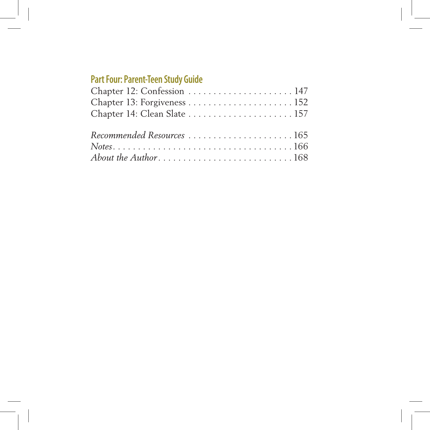### **Part Four: Parent-Teen Study Guide**

| Chapter 12: Confession  147  |  |
|------------------------------|--|
|                              |  |
| Chapter 14: Clean Slate  157 |  |
| Recommended Resources 165    |  |
|                              |  |
|                              |  |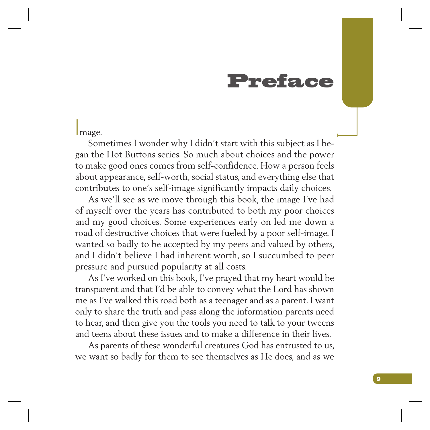### Preface

#### Image.

Sometimes I wonder why I didn't start with this subject as I began the Hot Buttons series. So much about choices and the power to make good ones comes from self-confidence. How a person feels about appearance, self-worth, social status, and everything else that contributes to one's self-image significantly impacts daily choices.

As we'll see as we move through this book, the image I've had of myself over the years has contributed to both my poor choices and my good choices. Some experiences early on led me down a road of destructive choices that were fueled by a poor self-image. I wanted so badly to be accepted by my peers and valued by others, and I didn't believe I had inherent worth, so I succumbed to peer pressure and pursued popularity at all costs.

As I've worked on this book, I've prayed that my heart would be transparent and that I'd be able to convey what the Lord has shown me as I've walked this road both as a teenager and as a parent. I want only to share the truth and pass along the information parents need to hear, and then give you the tools you need to talk to your tweens and teens about these issues and to make a difference in their lives.

As parents of these wonderful creatures God has entrusted to us, we want so badly for them to see themselves as He does, and as we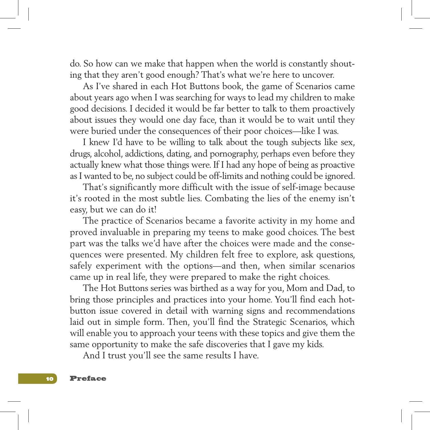do. So how can we make that happen when the world is constantly shouting that they aren't good enough? That's what we're here to uncover.

As I've shared in each Hot Buttons book, the game of Scenarios came about years ago when I was searching for ways to lead my children to make good decisions. I decided it would be far better to talk to them proactively about issues they would one day face, than it would be to wait until they were buried under the consequences of their poor choices—like I was.

I knew I'd have to be willing to talk about the tough subjects like sex, drugs, alcohol, addictions, dating, and pornography, perhaps even before they actually knew what those things were. If I had any hope of being as proactive as I wanted to be, no subject could be off-limits and nothing could be ignored.

That's significantly more difficult with the issue of self-image because it's rooted in the most subtle lies. Combating the lies of the enemy isn't easy, but we can do it!

The practice of Scenarios became a favorite activity in my home and proved invaluable in preparing my teens to make good choices. The best part was the talks we'd have after the choices were made and the consequences were presented. My children felt free to explore, ask questions, safely experiment with the options—and then, when similar scenarios came up in real life, they were prepared to make the right choices.

The Hot Buttons series was birthed as a way for you, Mom and Dad, to bring those principles and practices into your home. You'll find each hotbutton issue covered in detail with warning signs and recommendations laid out in simple form. Then, you'll find the Strategic Scenarios, which will enable you to approach your teens with these topics and give them the same opportunity to make the safe discoveries that I gave my kids.

And I trust you'll see the same results I have.

10 Preface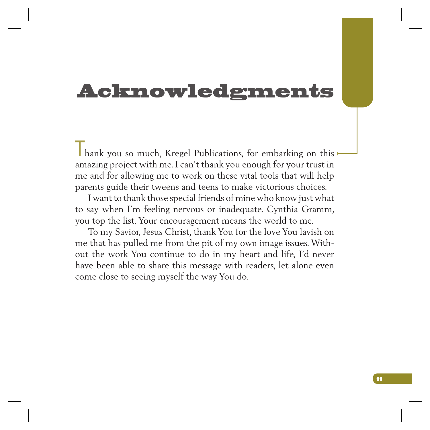### Acknowledgments

I hank you so much, Kregel Publications, for embarking on this amazing project with me. I can't thank you enough for your trust in me and for allowing me to work on these vital tools that will help parents guide their tweens and teens to make victorious choices.

I want to thank those special friends of mine who know just what to say when I'm feeling nervous or inadequate. Cynthia Gramm, you top the list. Your encouragement means the world to me.

To my Savior, Jesus Christ, thank You for the love You lavish on me that has pulled me from the pit of my own image issues. Without the work You continue to do in my heart and life, I'd never have been able to share this message with readers, let alone even come close to seeing myself the way You do.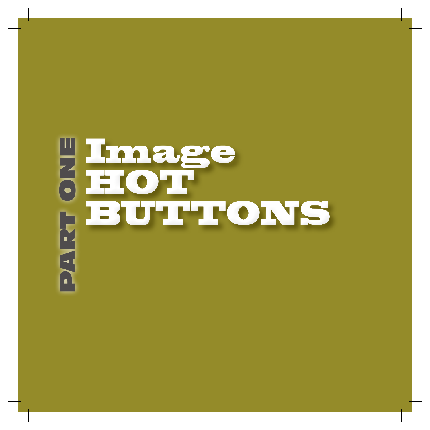# **PEMage<br>|HOTEOF**<br>|BUTTC<br>|H HOT BUTTONS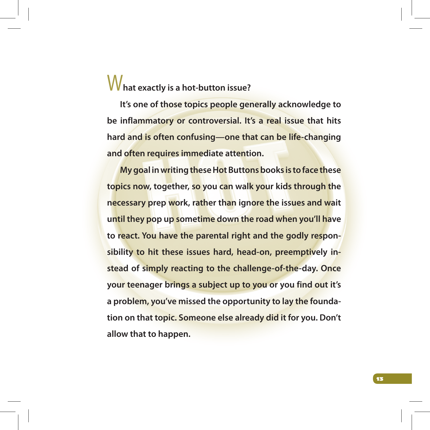### W**hat exactly is a hot-button issue?**

**It's one of those topics people generally acknowledge to be inflammatory or controversial. It's a real issue that hits hard and is often confusing—one that can be life-changing and often requires immediate attention.** 

**My goal in writing these Hot Buttons books is to face these topics now, together, so you can walk your kids through the necessary prep work, rather than ignore the issues and wait until they pop up sometime down the road when you'll have to react. You have the parental right and the godly responsibility to hit these issues hard, head-on, preemptively instead of simply reacting to the challenge-of-the-day. Once your teenager brings a subject up to you or you find out it's a problem, you've missed the opportunity to lay the foundation on that topic. Someone else already did it for you. Don't allow that to happen.**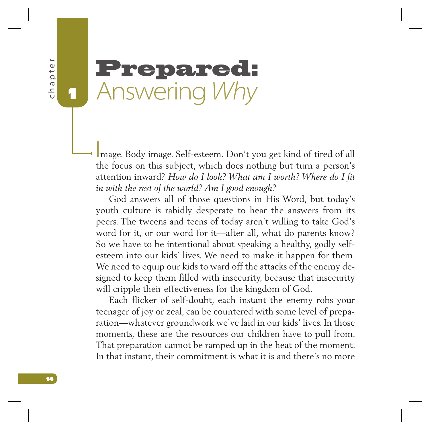$\frac{1}{\theta}$  $14$  chapter  $14$ thapt

1

### Prepared: Answering *Why*

Image. Body image. Self-esteem. Don't you get kind of tired of all the focus on this subject, which does nothing but turn a person's attention inward? *How do I look? What am I worth? Where do I fit in with the rest of the world? Am I good enough?* 

God answers all of those questions in His Word, but today's youth culture is rabidly desperate to hear the answers from its peers. The tweens and teens of today aren't willing to take God's word for it, or our word for it—after all, what do parents know? So we have to be intentional about speaking a healthy, godly selfesteem into our kids' lives. We need to make it happen for them. We need to equip our kids to ward off the attacks of the enemy designed to keep them filled with insecurity, because that insecurity will cripple their effectiveness for the kingdom of God.

Each flicker of self-doubt, each instant the enemy robs your teenager of joy or zeal, can be countered with some level of preparation—whatever groundwork we've laid in our kids' lives. In those moments, these are the resources our children have to pull from. That preparation cannot be ramped up in the heat of the moment. In that instant, their commitment is what it is and there's no more

14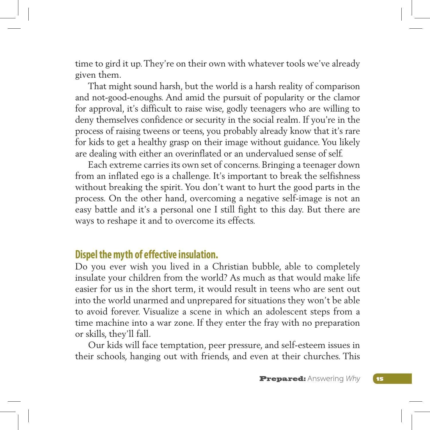time to gird it up. They're on their own with whatever tools we've already given them.

That might sound harsh, but the world is a harsh reality of comparison and not-good-enoughs. And amid the pursuit of popularity or the clamor for approval, it's difficult to raise wise, godly teenagers who are willing to deny themselves confidence or security in the social realm. If you're in the process of raising tweens or teens, you probably already know that it's rare for kids to get a healthy grasp on their image without guidance. You likely are dealing with either an overinflated or an undervalued sense of self.

Each extreme carries its own set of concerns. Bringing a teenager down from an inflated ego is a challenge. It's important to break the selfishness without breaking the spirit. You don't want to hurt the good parts in the process. On the other hand, overcoming a negative self-image is not an easy battle and it's a personal one I still fight to this day. But there are ways to reshape it and to overcome its effects.

### **Dispel the myth of effective insulation.**

Do you ever wish you lived in a Christian bubble, able to completely insulate your children from the world? As much as that would make life easier for us in the short term, it would result in teens who are sent out into the world unarmed and unprepared for situations they won't be able to avoid forever. Visualize a scene in which an adolescent steps from a time machine into a war zone. If they enter the fray with no preparation or skills, they'll fall.

Our kids will face temptation, peer pressure, and self-esteem issues in their schools, hanging out with friends, and even at their churches. This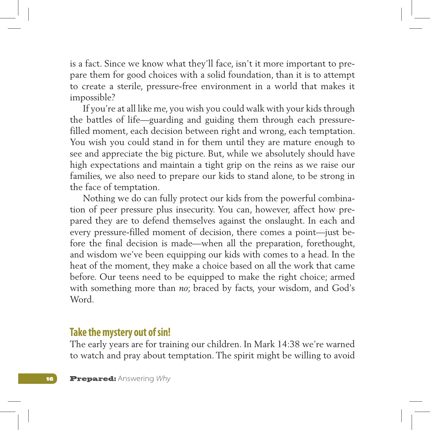is a fact. Since we know what they'll face, isn't it more important to prepare them for good choices with a solid foundation, than it is to attempt to create a sterile, pressure-free environment in a world that makes it impossible?

If you're at all like me, you wish you could walk with your kids through the battles of life—guarding and guiding them through each pressurefilled moment, each decision between right and wrong, each temptation. You wish you could stand in for them until they are mature enough to see and appreciate the big picture. But, while we absolutely should have high expectations and maintain a tight grip on the reins as we raise our families, we also need to prepare our kids to stand alone, to be strong in the face of temptation.

Nothing we do can fully protect our kids from the powerful combination of peer pressure plus insecurity. You can, however, affect how prepared they are to defend themselves against the onslaught. In each and every pressure-filled moment of decision, there comes a point—just before the final decision is made—when all the preparation, forethought, and wisdom we've been equipping our kids with comes to a head. In the heat of the moment, they make a choice based on all the work that came before. Our teens need to be equipped to make the right choice; armed with something more than *no*; braced by facts, your wisdom, and God's Word.

### **Take the mystery out of sin!**

The early years are for training our children. In Mark 14:38 we're warned to watch and pray about temptation. The spirit might be willing to avoid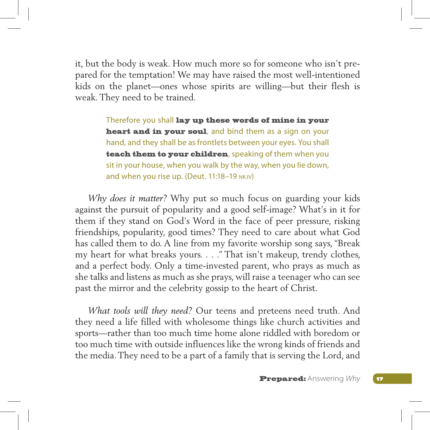it, but the body is weak. How much more so for someone who isn't prepared for the temptation! We may have raised the most well-intentioned kids on the planet—ones whose spirits are willing—but their flesh is weak. They need to be trained.

> Therefore you shall lay up these words of mine in your heart and in your soul, and bind them as a sign on your hand, and they shall be as frontlets between your eyes. You shall teach them to your children, speaking of them when you sit in your house, when you walk by the way, when you lie down, and when you rise up. (Deut. 11:18–19 nkjv)

*Why does it matter?* Why put so much focus on guarding your kids against the pursuit of popularity and a good self-image? What's in it for them if they stand on God's Word in the face of peer pressure, risking friendships, popularity, good times? They need to care about what God has called them to do. A line from my favorite worship song says, "Break my heart for what breaks yours. . . ." That isn't makeup, trendy clothes, and a perfect body. Only a time-invested parent, who prays as much as she talks and listens as much as she prays, will raise a teenager who can see past the mirror and the celebrity gossip to the heart of Christ.

*What tools will they need?* Our teens and preteens need truth. And they need a life filled with wholesome things like church activities and sports—rather than too much time home alone riddled with boredom or too much time with outside influences like the wrong kinds of friends and the media. They need to be a part of a family that is serving the Lord, and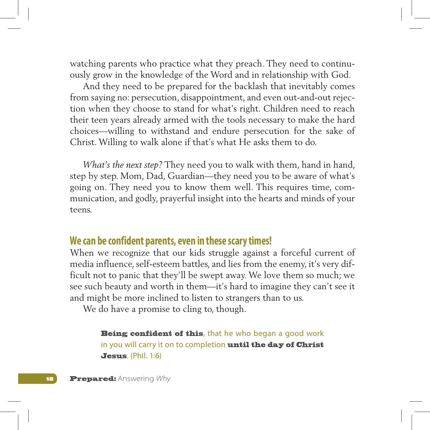watching parents who practice what they preach. They need to continuously grow in the knowledge of the Word and in relationship with God.

And they need to be prepared for the backlash that inevitably comes from saying no: persecution, disappointment, and even out-and-out rejection when they choose to stand for what's right. Children need to reach their teen years already armed with the tools necessary to make the hard choices—willing to withstand and endure persecution for the sake of Christ. Willing to walk alone if that's what He asks them to do.

*What's the next step?* They need you to walk with them, hand in hand, step by step. Mom, Dad, Guardian—they need you to be aware of what's going on. They need you to know them well. This requires time, communication, and godly, prayerful insight into the hearts and minds of your teens.

### **We can be confident parents, even in these scary times!**

When we recognize that our kids struggle against a forceful current of media influence, self-esteem battles, and lies from the enemy, it's very difficult not to panic that they'll be swept away. We love them so much; we see such beauty and worth in them—it's hard to imagine they can't see it and might be more inclined to listen to strangers than to us.

We do have a promise to cling to, though.

Being confident of this, that he who began a good work in you will carry it on to completion until the day of Christ Jesus. (Phil. 1:6)

**18 Prepared:** Answering *Why*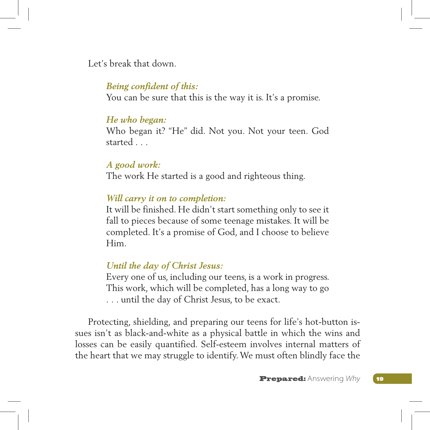Let's break that down.

#### *Being confident of this:*

You can be sure that this is the way it is. It's a promise.

#### *He who began:*

Who began it? "He" did. Not you. Not your teen. God started . . .

#### *A good work:*

The work He started is a good and righteous thing.

#### *Will carry it on to completion:*

It will be finished. He didn't start something only to see it fall to pieces because of some teenage mistakes. It will be completed. It's a promise of God, and I choose to believe Him.

### *Until the day of Christ Jesus:*

Every one of us, including our teens, is a work in progress. This work, which will be completed, has a long way to go . . . until the day of Christ Jesus, to be exact.

Protecting, shielding, and preparing our teens for life's hot-button issues isn't as black-and-white as a physical battle in which the wins and losses can be easily quantified. Self-esteem involves internal matters of the heart that we may struggle to identify. We must often blindly face the